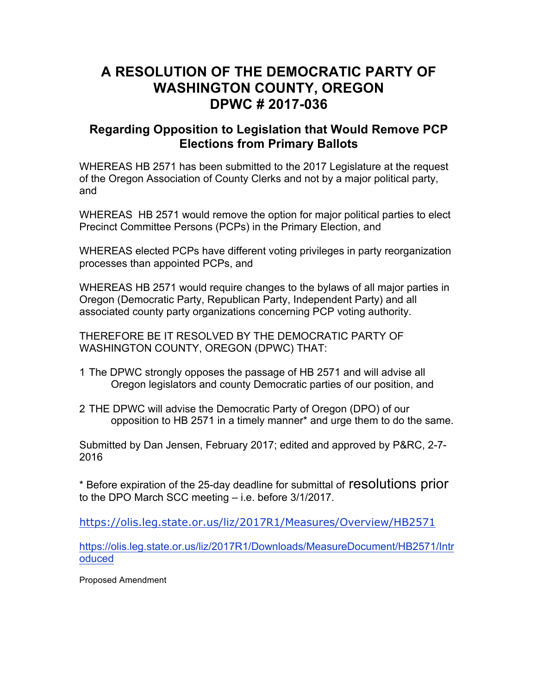## **A RESOLUTION OF THE DEMOCRATIC PARTY OF WASHINGTON COUNTY, OREGON DPWC # 2017-036**

## **Regarding Opposition to Legislation that Would Remove PCP Elections from Primary Ballots**

WHEREAS HB 2571 has been submitted to the 2017 Legislature at the request of the Oregon Association of County Clerks and not by a major political party, and

WHEREAS HB 2571 would remove the option for major political parties to elect Precinct Committee Persons (PCPs) in the Primary Election, and

WHEREAS elected PCPs have different voting privileges in party reorganization processes than appointed PCPs, and

WHEREAS HB 2571 would require changes to the bylaws of all major parties in Oregon (Democratic Party, Republican Party, Independent Party) and all associated county party organizations concerning PCP voting authority.

THEREFORE BE IT RESOLVED BY THE DEMOCRATIC PARTY OF WASHINGTON COUNTY, OREGON (DPWC) THAT:

- 1 The DPWC strongly opposes the passage of HB 2571 and will advise all Oregon legislators and county Democratic parties of our position, and
- 2 THE DPWC will advise the Democratic Party of Oregon (DPO) of our opposition to HB 2571 in a timely manner\* and urge them to do the same.

Submitted by Dan Jensen, February 2017; edited and approved by P&RC, 2-7- 2016

\* Before expiration of the 25-day deadline for submittal of resolutions prior to the DPO March SCC meeting – i.e. before 3/1/2017.

https://olis.leg.state.or.us/liz/2017R1/Measures/Overview/HB2571

https://olis.leg.state.or.us/liz/2017R1/Downloads/MeasureDocument/HB2571/Intr oduced

Proposed Amendment